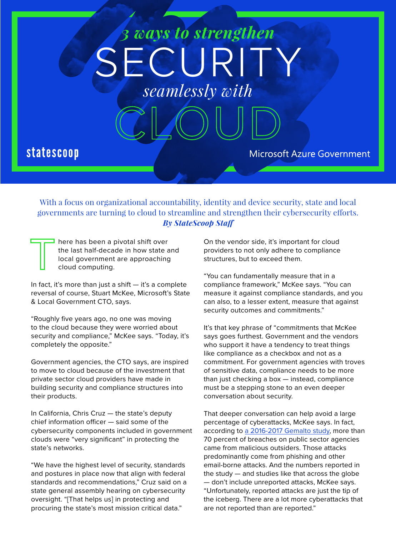# SECURIT *3 ways to strengthen seamlessly with*

## **statescoop**

**Microsoft Azure Government** 

With a focus on organizational accountability, identity and device security, state and local governments are turning to cloud to streamline and strengthen their cybersecurity efforts. *By StateScoop Staff*

here has been a pivotal shift over the last half-decade in how state and local government are approaching cloud computing.

In fact, it's more than just a shift  $-$  it's a complete reversal of course, Stuart McKee, Microsoft's State & Local Government CTO, says.

"Roughly five years ago, no one was moving to the cloud because they were worried about security and compliance," McKee says. "Today, it's completely the opposite."

Government agencies, the CTO says, are inspired to move to cloud because of the investment that private sector cloud providers have made in building security and compliance structures into their products.

In California, Chris Cruz — the state's deputy chief information officer — said some of the cybersecurity components included in government clouds were "very significant" in protecting the state's networks.

"We have the highest level of security, standards and postures in place now that align with federal standards and recommendations," Cruz said on a state general assembly hearing on cybersecurity oversight. "[That helps us] in protecting and procuring the state's most mission critical data."

On the vendor side, it's important for cloud providers to not only adhere to compliance structures, but to exceed them.

"You can fundamentally measure that in a compliance framework," McKee says. "You can measure it against compliance standards, and you can also, to a lesser extent, measure that against security outcomes and commitments."

It's that key phrase of "commitments that McKee says goes furthest. Government and the vendors who support it have a tendency to treat things like compliance as a checkbox and not as a commitment. For government agencies with troves of sensitive data, compliance needs to be more than just checking a box — instead, compliance must be a stepping stone to an even deeper conversation about security.

That deeper conversation can help avoid a large percentage of cyberattacks, McKee says. In fact, according to [a 2016-2017 Gemalto study](http://breachlevelindex.com/assets/Breach-Level-Index-Report-H1-2017-Gemalto.pdf), more than 70 percent of breaches on public sector agencies came from malicious outsiders. Those attacks predominantly come from phishing and other email-borne attacks. And the numbers reported in the study — and studies like that across the globe — don't include unreported attacks, McKee says. "Unfortunately, reported attacks are just the tip of the iceberg. There are a lot more cyberattacks that are not reported than are reported."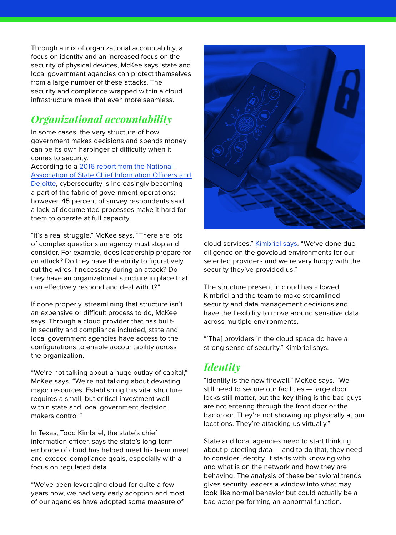Through a mix of organizational accountability, a focus on identity and an increased focus on the security of physical devices, McKee says, state and local government agencies can protect themselves from a large number of these attacks. The security and compliance wrapped within a cloud infrastructure make that even more seamless.

### *Organizational accountability*

In some cases, the very structure of how government makes decisions and spends money can be its own harbinger of difficulty when it comes to security.

According to a [2016 report from the National](https://www.nascio.org/Portals/0/Publications/Documents/2016/2016-Deloitte-NASCIO-Cybersecurity-Study.pdf)  [Association of State Chief Information Officers and](https://www.nascio.org/Portals/0/Publications/Documents/2016/2016-Deloitte-NASCIO-Cybersecurity-Study.pdf)  [Deloitte,](https://www.nascio.org/Portals/0/Publications/Documents/2016/2016-Deloitte-NASCIO-Cybersecurity-Study.pdf) cybersecurity is increasingly becoming a part of the fabric of government operations; however, 45 percent of survey respondents said a lack of documented processes make it hard for them to operate at full capacity.

"It's a real struggle," McKee says. "There are lots of complex questions an agency must stop and consider. For example, does leadership prepare for an attack? Do they have the ability to figuratively cut the wires if necessary during an attack? Do they have an organizational structure in place that can effectively respond and deal with it?"

If done properly, streamlining that structure isn't an expensive or difficult process to do, McKee says. Through a cloud provider that has builtin security and compliance included, state and local government agencies have access to the configurations to enable accountability across the organization.

"We're not talking about a huge outlay of capital," McKee says. "We're not talking about deviating major resources. Establishing this vital structure requires a small, but critical investment well within state and local government decision makers control."

In Texas, Todd Kimbriel, the state's chief information officer, says the state's long-term embrace of cloud has helped meet his team meet and exceed compliance goals, especially with a focus on regulated data.

"We've been leveraging cloud for quite a few years now, we had very early adoption and most of our agencies have adopted some measure of



cloud services," [Kimbriel says](http://statescoop.com/journey-to-the-cloud/todd-kimbriel/). "We've done due diligence on the govcloud environments for our selected providers and we're very happy with the security they've provided us."

The structure present in cloud has allowed Kimbriel and the team to make streamlined security and data management decisions and have the flexibility to move around sensitive data across multiple environments.

"[The] providers in the cloud space do have a strong sense of security," Kimbriel says.

#### *Identity*

"Identity is the new firewall," McKee says. "We still need to secure our facilities — large door locks still matter, but the key thing is the bad guys are not entering through the front door or the backdoor. They're not showing up physically at our locations. They're attacking us virtually."

State and local agencies need to start thinking about protecting data — and to do that, they need to consider identity. It starts with knowing who and what is on the network and how they are behaving. The analysis of these behavioral trends gives security leaders a window into what may look like normal behavior but could actually be a bad actor performing an abnormal function.